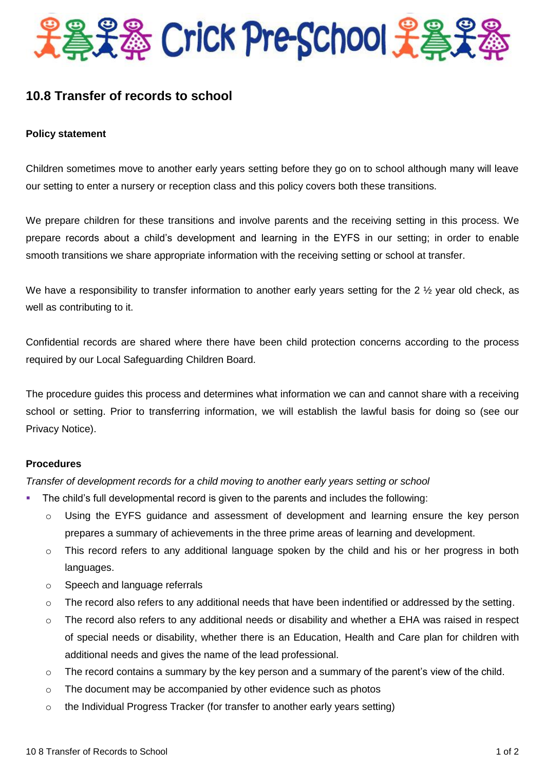

# **10.8 Transfer of records to school**

# **Policy statement**

Children sometimes move to another early years setting before they go on to school although many will leave our setting to enter a nursery or reception class and this policy covers both these transitions.

We prepare children for these transitions and involve parents and the receiving setting in this process. We prepare records about a child's development and learning in the EYFS in our setting; in order to enable smooth transitions we share appropriate information with the receiving setting or school at transfer.

We have a responsibility to transfer information to another early years setting for the 2  $\frac{1}{2}$  year old check, as well as contributing to it.

Confidential records are shared where there have been child protection concerns according to the process required by our Local Safeguarding Children Board.

The procedure guides this process and determines what information we can and cannot share with a receiving school or setting. Prior to transferring information, we will establish the lawful basis for doing so (see our Privacy Notice).

### **Procedures**

*Transfer of development records for a child moving to another early years setting or school*

- The child's full developmental record is given to the parents and includes the following:
	- o Using the EYFS guidance and assessment of development and learning ensure the key person prepares a summary of achievements in the three prime areas of learning and development.
	- $\circ$  This record refers to any additional language spoken by the child and his or her progress in both languages.
	- o Speech and language referrals
	- $\circ$  The record also refers to any additional needs that have been indentified or addressed by the setting.
	- $\circ$  The record also refers to any additional needs or disability and whether a EHA was raised in respect of special needs or disability, whether there is an Education, Health and Care plan for children with additional needs and gives the name of the lead professional.
	- $\circ$  The record contains a summary by the key person and a summary of the parent's view of the child.
	- o The document may be accompanied by other evidence such as photos
	- $\circ$  the Individual Progress Tracker (for transfer to another early years setting)